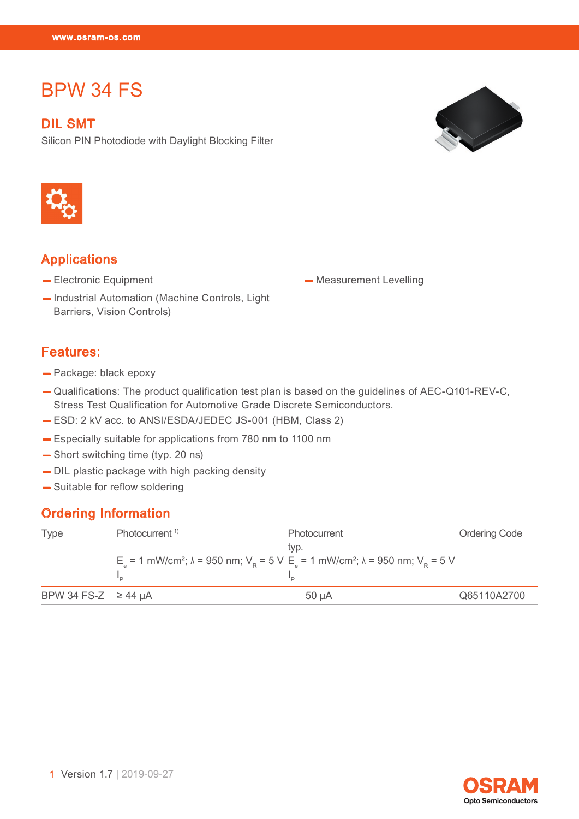BPW 34 FS

# BPW 34 FS

DIL SMT Silicon PIN Photodiode with Daylight Blocking Filter





#### **Applications**

- Electronic Equipment
- Industrial Automation (Machine Controls, Light Barriers, Vision Controls)

### Features:

- Package: black epoxy
- Qualifications: The product qualification test plan is based on the guidelines of AEC-Q101-REV-C, Stress Test Qualification for Automotive Grade Discrete Semiconductors.
- ESD: 2 kV acc. to ANSI/ESDA/JEDEC JS-001 (HBM, Class 2)
- Especially suitable for applications from 780 nm to 1100 nm
- Short switching time (typ. 20 ns)
- DIL plastic package with high packing density
- Suitable for reflow soldering

#### Ordering Information

| <b>Type</b>             | Photocurrent <sup>1)</sup> | Photocurrent                                                                                                                            | <b>Ordering Code</b> |
|-------------------------|----------------------------|-----------------------------------------------------------------------------------------------------------------------------------------|----------------------|
|                         |                            | tvp.                                                                                                                                    |                      |
|                         |                            | $Ea$ = 1 mW/cm <sup>2</sup> ; λ = 950 nm; V <sub>p</sub> = 5 V E <sub>a</sub> = 1 mW/cm <sup>2</sup> ; λ = 950 nm; V <sub>p</sub> = 5 V |                      |
|                         |                            |                                                                                                                                         |                      |
| BPW 34 FS-Z $\ge$ 44 µA |                            | $50 \mu A$                                                                                                                              | Q65110A2700          |

**Opto Semiconductors** 

— Measurement Levelling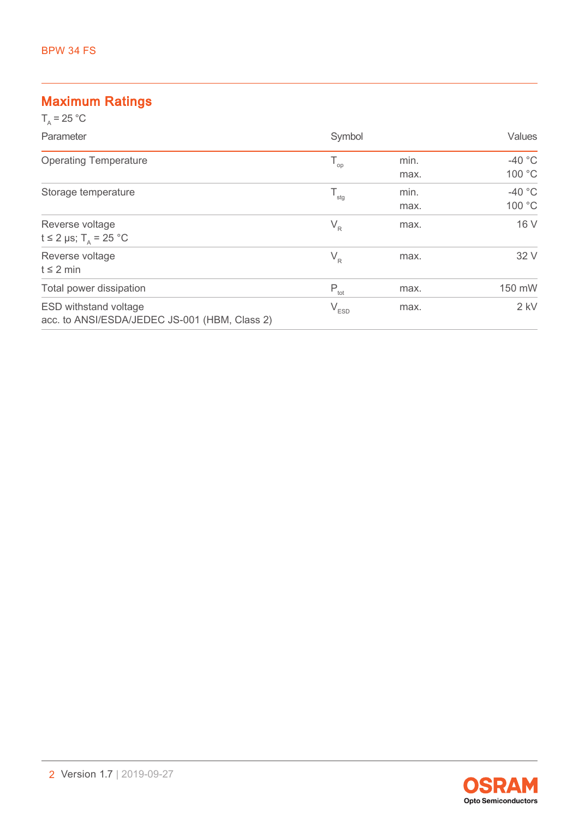#### Maximum Ratings

| $T_{0}$ = 25 °C                                                               |                                               |              |                    |
|-------------------------------------------------------------------------------|-----------------------------------------------|--------------|--------------------|
| Parameter                                                                     | Symbol                                        |              | Values             |
| <b>Operating Temperature</b>                                                  | $\mathsf{T}_{\scriptscriptstyle \mathsf{op}}$ | min.<br>max. | $-40$ °C<br>100 °C |
| Storage temperature                                                           | $\mathsf{T}_{\text{stg}}$                     | min.<br>max. | $-40$ °C<br>100 °C |
| Reverse voltage<br>t ≤ 2 µs; T <sub>∆</sub> = 25 °C                           | $V_R$                                         | max.         | 16 V               |
| Reverse voltage<br>$t \leq 2$ min                                             | $V_R$                                         | max.         | 32 V               |
| Total power dissipation                                                       | $P_{\text{tot}}$                              | max.         | 150 mW             |
| <b>ESD withstand voltage</b><br>acc. to ANSI/ESDA/JEDEC JS-001 (HBM, Class 2) | $\mathsf{V}_{\texttt{ESD}}$                   | max.         | $2$ kV             |

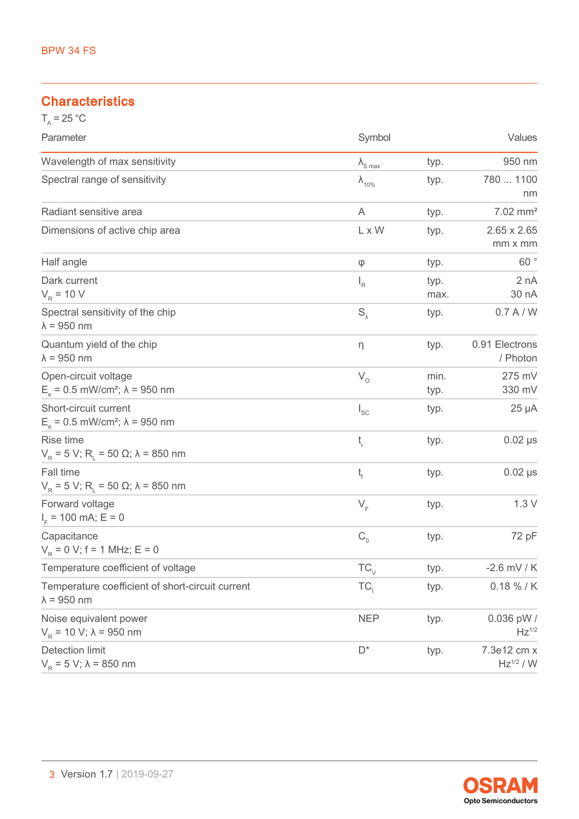#### **Characteristics**

| $T_a = 25 °C$                                                                |                          |              |                                   |
|------------------------------------------------------------------------------|--------------------------|--------------|-----------------------------------|
| Parameter                                                                    | Symbol                   |              | Values                            |
| Wavelength of max sensitivity                                                | $\lambda_{\text{S max}}$ | typ.         | 950 nm                            |
| Spectral range of sensitivity                                                | $\lambda_{10\%}$         | typ.         | 780  1100<br>nm                   |
| Radiant sensitive area                                                       | A                        | typ.         | $7.02$ mm <sup>2</sup>            |
| Dimensions of active chip area                                               | L x W                    | typ.         | $2.65 \times 2.65$<br>mm x mm     |
| Half angle                                                                   | φ                        | typ.         | 60°                               |
| Dark current<br>$V_R$ = 10 V                                                 | $I_R$                    | typ.<br>max. | 2 nA<br>30 nA                     |
| Spectral sensitivity of the chip<br>$\lambda$ = 950 nm                       | $S_{\lambda}$            | typ.         | 0.7 A/W                           |
| Quantum yield of the chip<br>$\lambda$ = 950 nm                              | η                        | typ.         | 0.91 Electrons<br>/ Photon        |
| Open-circuit voltage<br>$E_a = 0.5$ mW/cm <sup>2</sup> ; $\lambda = 950$ nm  | $V_{O}$                  | min.<br>typ. | 275 mV<br>330 mV                  |
| Short-circuit current<br>$E_a = 0.5$ mW/cm <sup>2</sup> ; $\lambda = 950$ nm | $I_{SC}$                 | typ.         | $25 \mu A$                        |
| Rise time<br>$V_R$ = 5 V; R <sub>L</sub> = 50 Ω; λ = 850 nm                  | $t_{\rm r}$              | typ.         | $0.02$ $\mu s$                    |
| Fall time<br>$V_R$ = 5 V; R <sub>L</sub> = 50 Ω; λ = 850 nm                  | t,                       | typ.         | $0.02$ $\mu s$                    |
| Forward voltage<br>$IF$ = 100 mA; E = 0                                      | $V_F$                    | typ.         | 1.3V                              |
| Capacitance<br>$V_p = 0$ V; f = 1 MHz; E = 0                                 | $C_{0}$                  | typ.         | 72 pF                             |
| Temperature coefficient of voltage                                           | $TC_{\vee}$              | typ.         | $-2.6$ mV / K                     |
| Temperature coefficient of short-circuit current<br>$\lambda$ = 950 nm       | TC <sub>1</sub>          | typ.         | $0.18 \% / K$                     |
| Noise equivalent power<br>$V_p = 10 V$ ; $\lambda = 950$ nm                  | <b>NEP</b>               | typ.         | 0.036 pW /<br>$Hz$ <sup>1/2</sup> |
| <b>Detection limit</b><br>$V_R$ = 5 V; λ = 850 nm                            | $D^*$                    | typ.         | 7.3e12 cm x<br>$Hz^{1/2} / W$     |

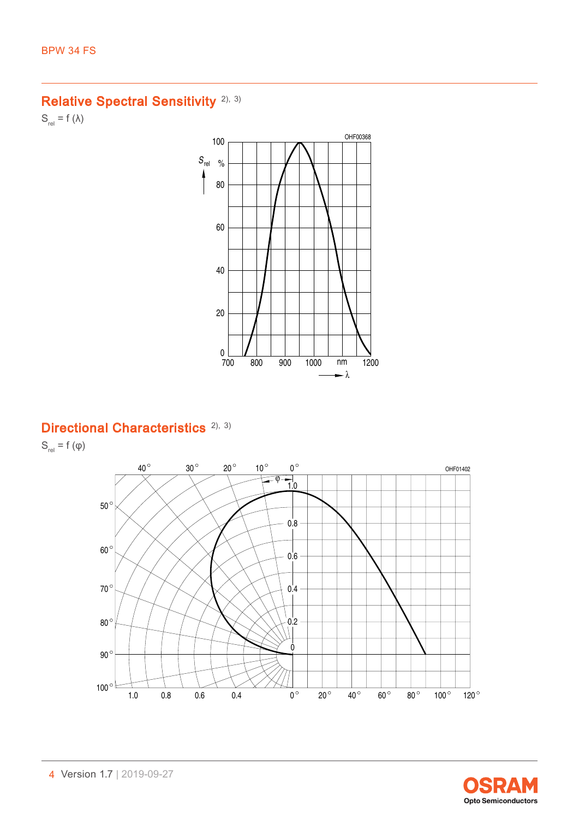## Relative Spectral Sensitivity<sup>[2\),](#page-15-0) [3\)](#page-15-0)</sup>

 $S_{rel} = f (\lambda)$ 



## Directional Characteristics<sup>[2\),](#page-15-0) [3\)](#page-15-0)</sup>

 $S_{rel} = f(\varphi)$ 



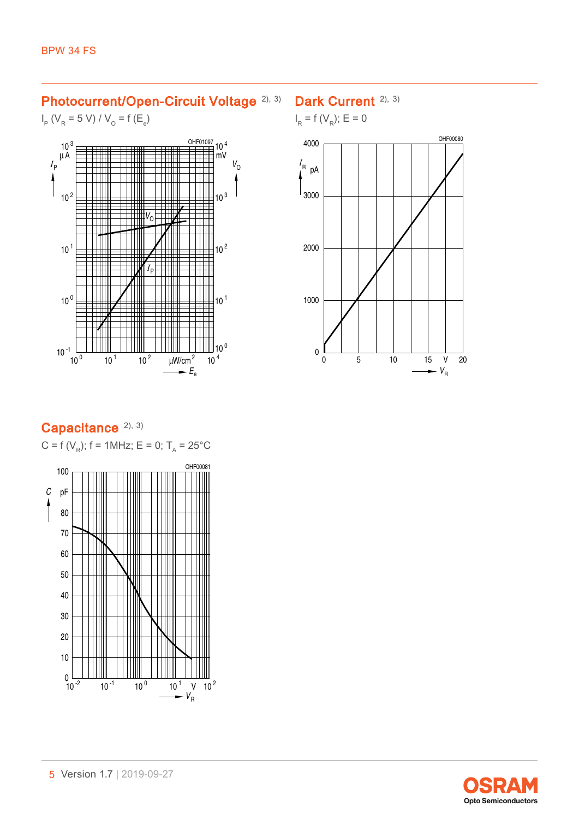### Photocurrent/Open-Circuit Voltage [2\),](#page-15-0) [3\)](#page-15-0)

 $I_{\text{p}}$  (V<sub>R</sub> = 5 V) / V<sub>O</sub> = f (E<sub>e</sub>)



## Dark Current<sup>[2\),](#page-15-0) [3\)](#page-15-0)</sup>





# Capacitance<sup>[2\),](#page-15-0) [3\)](#page-15-0)</sup>

 $C = f(V_R)$ ; f = 1MHz; E = 0; T<sub>A</sub> = 25°C

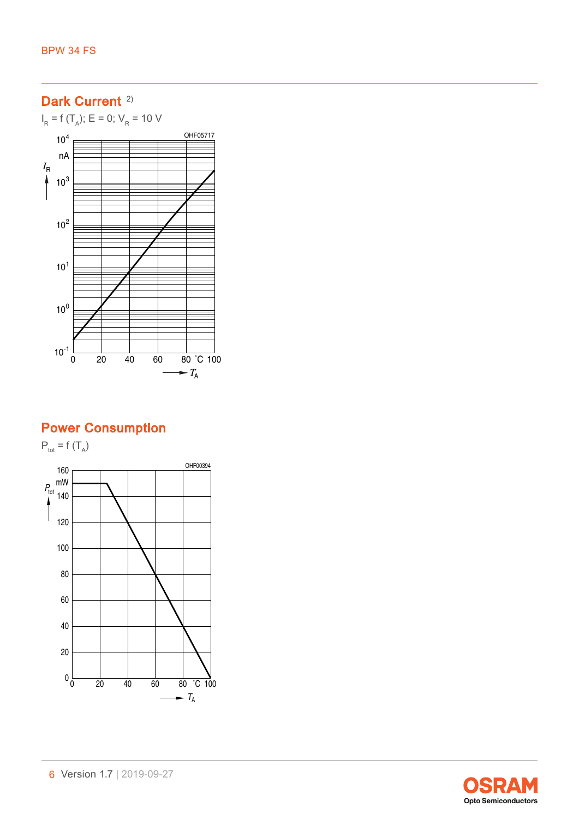$I_R$  = f (T<sub>A</sub>); E = 0; V<sub>R</sub> = 10 V



## Power Consumption

 $P_{\text{tot}} = f(T_A)$ OHF00394 160 $P_{\text{tot}}$ <sup>mW</sup> 140 120 100 80 60 40 20  $0\frac{L}{0}$ <sup>0</sup> <sup>20</sup> <sup>40</sup> <sup>60</sup> <sup>80</sup> ˚C <sup>100</sup>  $\overline{\phantom{a}}$ *T* A

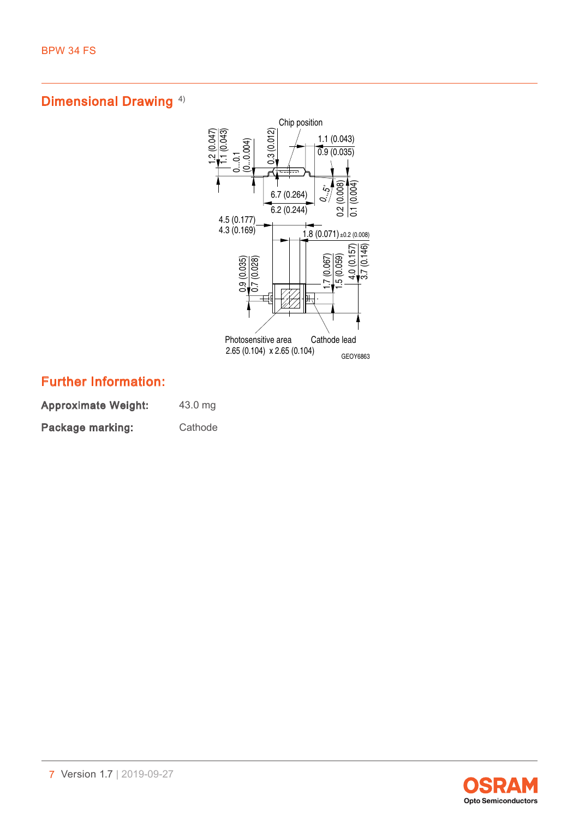

## Further Information:

Approximate Weight: 43.0 mg Package marking: Cathode

**Opto Semiconductors**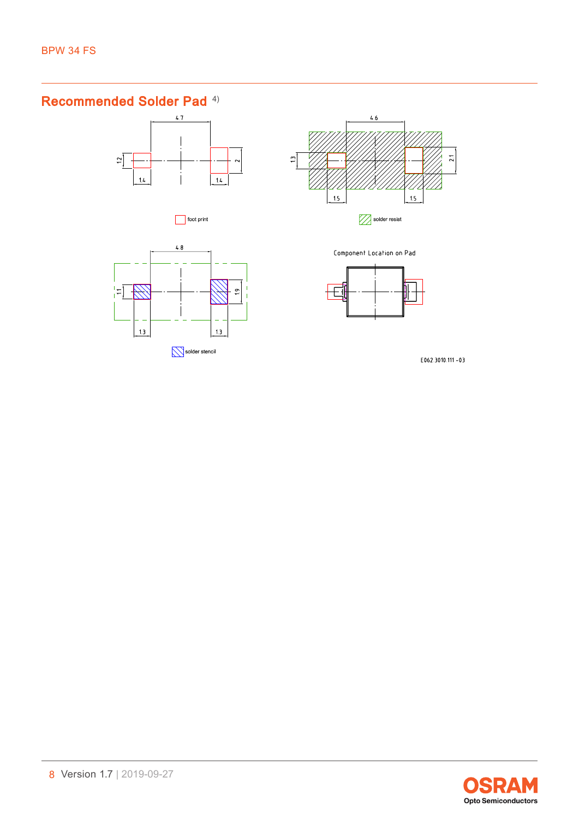## Recommended Solder Pad [4\)](#page-15-0)







 $4.8$ 님  $\overline{\mathscr{H}}$  $\frac{9}{1}$  $1.3$  $1.3$ Solder stencil

Component Location on Pad



E062.3010.111 -03

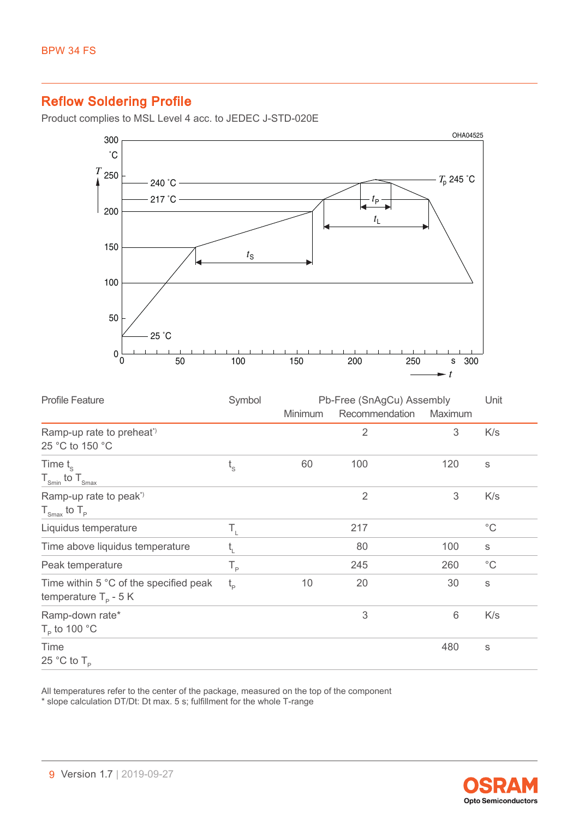## Reflow Soldering Profile

Product complies to MSL Level 4 acc. to JEDEC J-STD-020E



| <b>Profile Feature</b>                                                   | Symbol      | Pb-Free (SnAgCu) Assembly |                |                 | Unit         |
|--------------------------------------------------------------------------|-------------|---------------------------|----------------|-----------------|--------------|
|                                                                          |             | <b>Minimum</b>            | Recommendation | Maximum         |              |
| Ramp-up rate to preheat <sup>*</sup><br>25 °C to 150 °C                  |             |                           | $\overline{2}$ | 3               | K/s          |
| Time $t_{\rm s}$<br>$T_{\text{Smin}}$ to $T_{\text{Smax}}$               | $t_{\rm s}$ | 60                        | 100            | 120             | S            |
| Ramp-up rate to peak <sup>*</sup><br>$T_{\text{Smax}}$ to $T_{\text{p}}$ |             |                           | $\overline{2}$ | 3               | K/s          |
| Liquidus temperature                                                     | Τ,          |                           | 217            |                 | $^{\circ}$ C |
| Time above liquidus temperature                                          | t,          |                           | 80             | 100             | $\mathbb S$  |
| Peak temperature                                                         | $T_{\rm p}$ |                           | 245            | 260             | $^{\circ}$ C |
| Time within 5 °C of the specified peak<br>temperature $T_p - 5K$         | $t_{\rm p}$ | 10                        | 20             | 30              | $\mathbb S$  |
| Ramp-down rate*<br>$T_{\rm p}$ to 100 °C                                 |             |                           | 3              | $6\phantom{1}6$ | K/s          |
| Time<br>25 °C to $T_{\rm p}$                                             |             |                           |                | 480             | S            |

All temperatures refer to the center of the package, measured on the top of the component \* slope calculation DT/Dt: Dt max. 5 s; fulfillment for the whole T-range

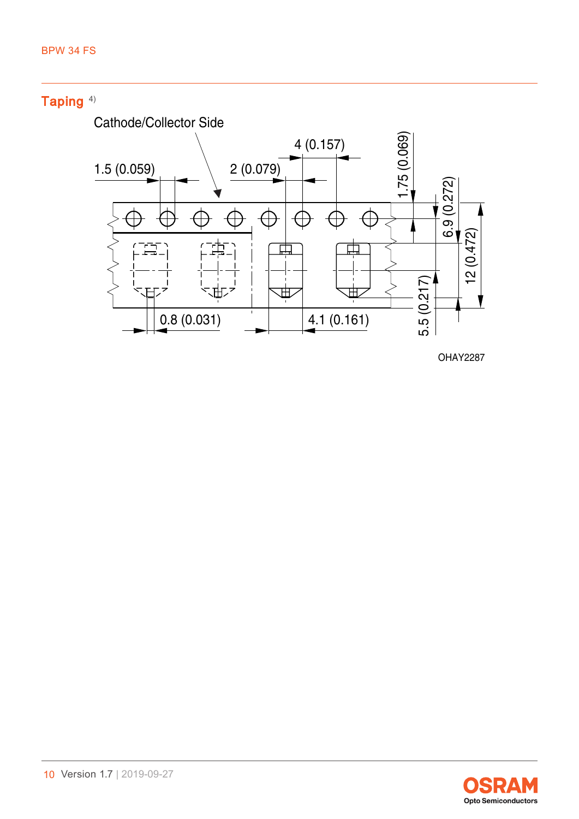

OHAY2287

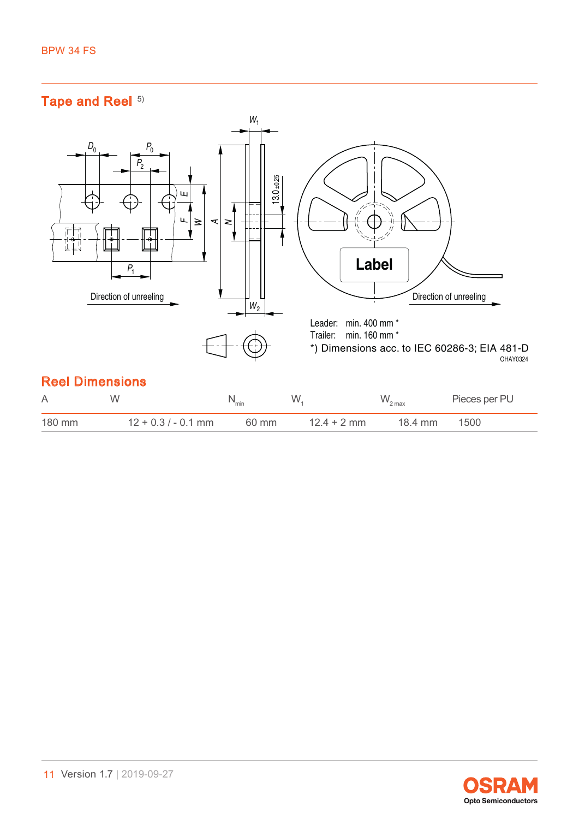## Tape and Reel [5\)](#page-15-0)



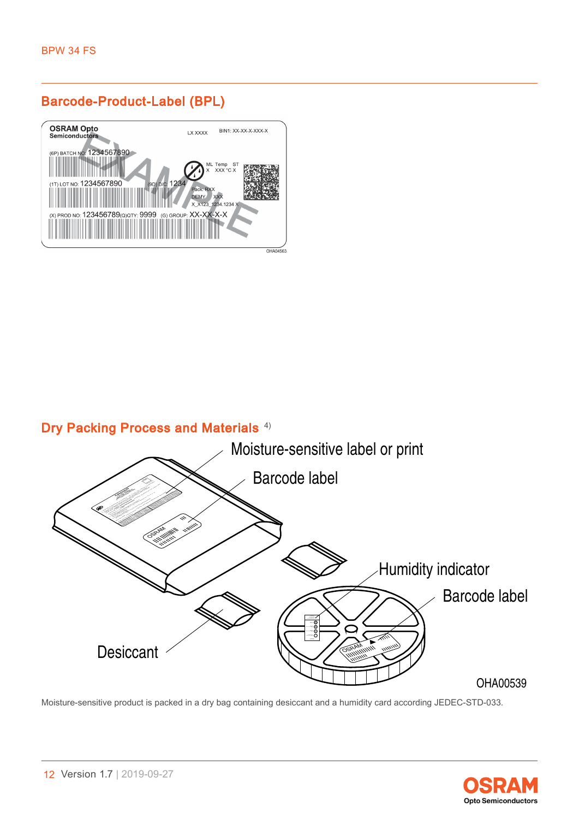## Barcode-Product-Label (BPL)



## Dry Packing Process and Materials<sup>[4\)](#page-15-0)</sup>



Moisture-sensitive product is packed in a dry bag containing desiccant and a humidity card according JEDEC-STD-033.

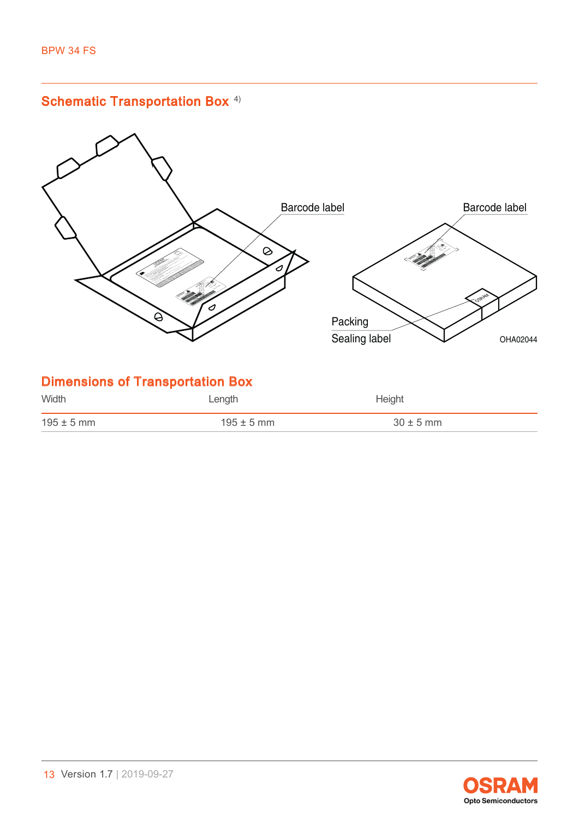

 $195 \pm 5 \text{ mm}$   $195 \pm 5 \text{ mm}$   $30 \pm 5 \text{ mm}$ 

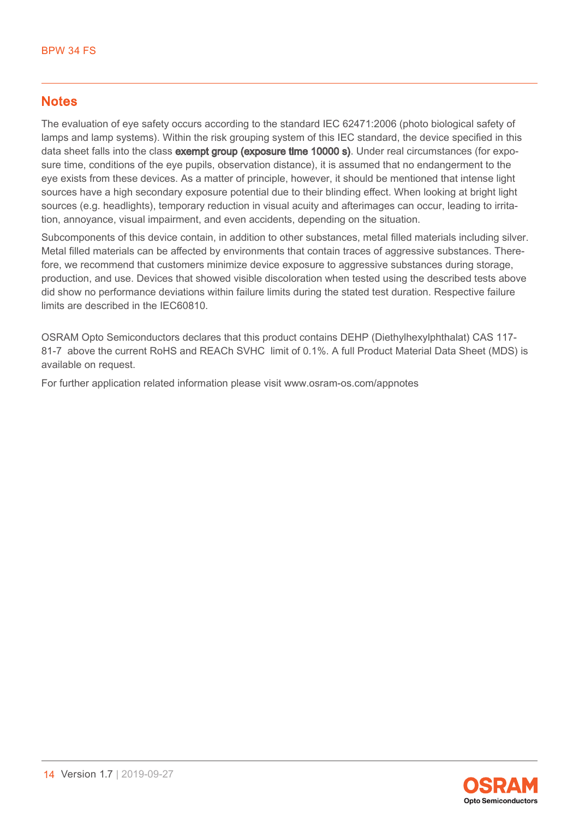#### **Notes**

The evaluation of eye safety occurs according to the standard IEC 62471:2006 (photo biological safety of lamps and lamp systems). Within the risk grouping system of this IEC standard, the device specified in this data sheet falls into the class **exempt group (exposure time 10000 s)**. Under real circumstances (for exposure time, conditions of the eye pupils, observation distance), it is assumed that no endangerment to the eye exists from these devices. As a matter of principle, however, it should be mentioned that intense light sources have a high secondary exposure potential due to their blinding effect. When looking at bright light sources (e.g. headlights), temporary reduction in visual acuity and afterimages can occur, leading to irritation, annoyance, visual impairment, and even accidents, depending on the situation.

Subcomponents of this device contain, in addition to other substances, metal filled materials including silver. Metal filled materials can be affected by environments that contain traces of aggressive substances. Therefore, we recommend that customers minimize device exposure to aggressive substances during storage, production, and use. Devices that showed visible discoloration when tested using the described tests above did show no performance deviations within failure limits during the stated test duration. Respective failure limits are described in the IEC60810.

OSRAM Opto Semiconductors declares that this product contains DEHP (Diethylhexylphthalat) CAS 117- 81-7 above the current RoHS and REACh SVHC limit of 0.1%. A full Product Material Data Sheet (MDS) is available on request.

For further application related information please visit www.osram-os.com/appnotes

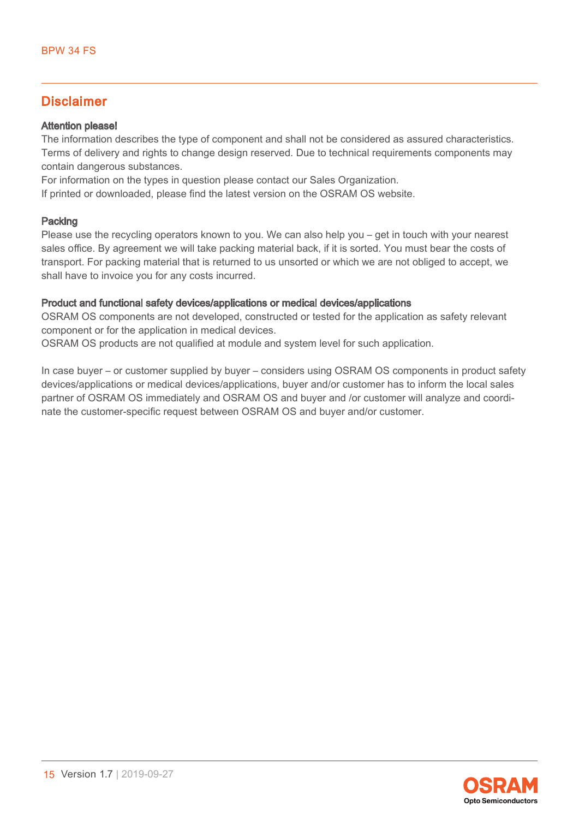#### Disclaimer

#### Attention please!

The information describes the type of component and shall not be considered as assured characteristics. Terms of delivery and rights to change design reserved. Due to technical requirements components may contain dangerous substances.

For information on the types in question please contact our Sales Organization.

If printed or downloaded, please find the latest version on the OSRAM OS website.

#### Packing

Please use the recycling operators known to you. We can also help you – get in touch with your nearest sales office. By agreement we will take packing material back, if it is sorted. You must bear the costs of transport. For packing material that is returned to us unsorted or which we are not obliged to accept, we shall have to invoice you for any costs incurred.

#### Product and functional safety devices/applications or medical devices/applications

OSRAM OS components are not developed, constructed or tested for the application as safety relevant component or for the application in medical devices.

OSRAM OS products are not qualified at module and system level for such application.

In case buyer – or customer supplied by buyer – considers using OSRAM OS components in product safety devices/applications or medical devices/applications, buyer and/or customer has to inform the local sales partner of OSRAM OS immediately and OSRAM OS and buyer and /or customer will analyze and coordinate the customer-specific request between OSRAM OS and buyer and/or customer.

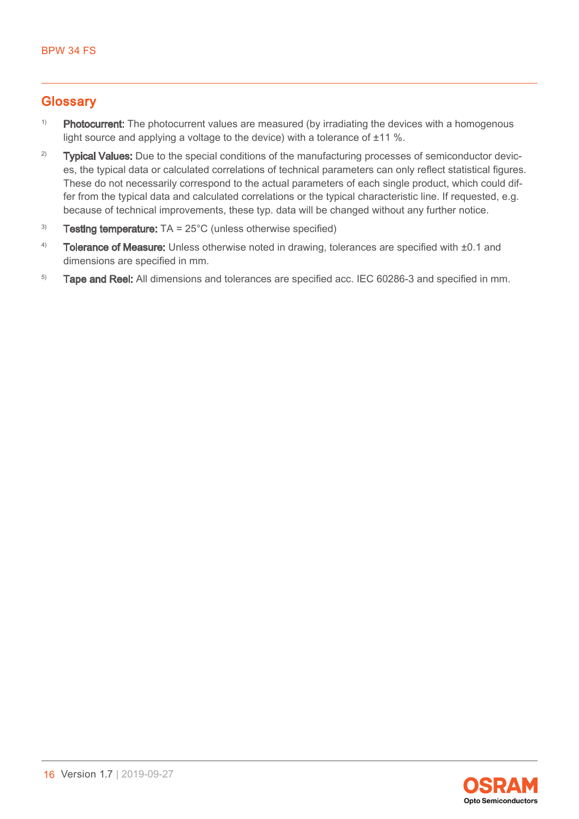#### <span id="page-15-0"></span>**Glossary**

- <sup>1)</sup> Photocurrent: The photocurrent values are measured (by irradiating the devices with a homogenous light source and applying a voltage to the device) with a tolerance of ±11 %.
- <sup>2)</sup> Typical Values: Due to the special conditions of the manufacturing processes of semiconductor devices, the typical data or calculated correlations of technical parameters can only reflect statistical figures. These do not necessarily correspond to the actual parameters of each single product, which could differ from the typical data and calculated correlations or the typical characteristic line. If requested, e.g. because of technical improvements, these typ. data will be changed without any further notice.
- <sup>3)</sup> Testing temperature:  $TA = 25^{\circ}C$  (unless otherwise specified)
- 4) Tolerance of Measure: Unless otherwise noted in drawing, tolerances are specified with  $\pm 0.1$  and dimensions are specified in mm.
- <sup>5)</sup> Tape and Reel: All dimensions and tolerances are specified acc. IEC 60286-3 and specified in mm.